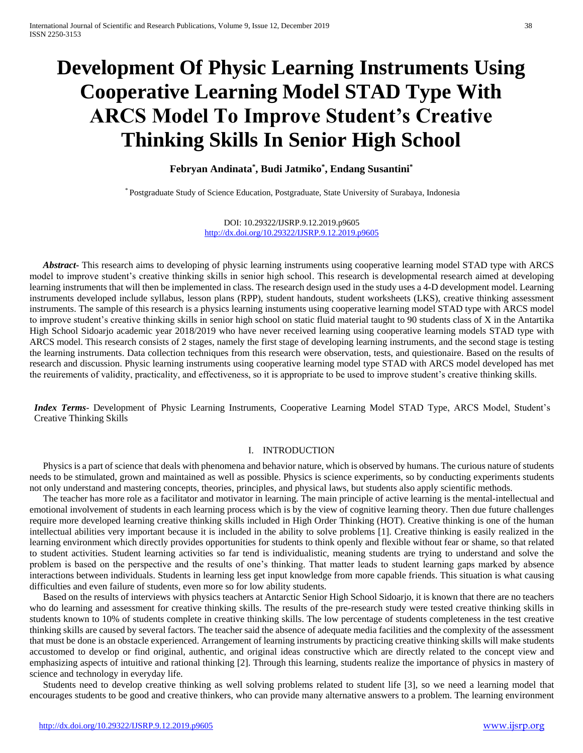# **Development Of Physic Learning Instruments Using Cooperative Learning Model STAD Type With ARCS Model To Improve Student's Creative Thinking Skills In Senior High School**

## **Febryan Andinata\* , Budi Jatmiko\* , Endang Susantini\***

\* Postgraduate Study of Science Education, Postgraduate, State University of Surabaya, Indonesia

DOI: 10.29322/IJSRP.9.12.2019.p9605 <http://dx.doi.org/10.29322/IJSRP.9.12.2019.p9605>

*Abstract***-** This research aims to developing of physic learning instruments using cooperative learning model STAD type with ARCS model to improve student's creative thinking skills in senior high school. This research is developmental research aimed at developing learning instruments that will then be implemented in class. The research design used in the study uses a 4-D development model. Learning instruments developed include syllabus, lesson plans (RPP), student handouts, student worksheets (LKS), creative thinking assessment instruments. The sample of this research is a physics learning instuments using cooperative learning model STAD type with ARCS model to improve student's creative thinking skills in senior high school on static fluid material taught to 90 students class of X in the Antartika High School Sidoarjo academic year 2018/2019 who have never received learning using cooperative learning models STAD type with ARCS model. This research consists of 2 stages, namely the first stage of developing learning instruments, and the second stage is testing the learning instruments. Data collection techniques from this research were observation, tests, and quiestionaire. Based on the results of research and discussion. Physic learning instruments using cooperative learning model type STAD with ARCS model developed has met the reuirements of validity, practicality, and effectiveness, so it is appropriate to be used to improve student's creative thinking skills.

*Index Terms*- Development of Physic Learning Instruments, Cooperative Learning Model STAD Type, ARCS Model, Student's Creative Thinking Skills

### I. INTRODUCTION

Physics is a part of science that deals with phenomena and behavior nature, which is observed by humans. The curious nature of students needs to be stimulated, grown and maintained as well as possible. Physics is science experiments, so by conducting experiments students not only understand and mastering concepts, theories, principles, and physical laws, but students also apply scientific methods.

The teacher has more role as a facilitator and motivator in learning. The main principle of active learning is the mental-intellectual and emotional involvement of students in each learning process which is by the view of cognitive learning theory. Then due future challenges require more developed learning creative thinking skills included in High Order Thinking (HOT). Creative thinking is one of the human intellectual abilities very important because it is included in the ability to solve problems [1]. Creative thinking is easily realized in the learning environment which directly provides opportunities for students to think openly and flexible without fear or shame, so that related to student activities. Student learning activities so far tend is individualistic, meaning students are trying to understand and solve the problem is based on the perspective and the results of one's thinking. That matter leads to student learning gaps marked by absence interactions between individuals. Students in learning less get input knowledge from more capable friends. This situation is what causing difficulties and even failure of students, even more so for low ability students.

Based on the results of interviews with physics teachers at Antarctic Senior High School Sidoarjo, it is known that there are no teachers who do learning and assessment for creative thinking skills. The results of the pre-research study were tested creative thinking skills in students known to 10% of students complete in creative thinking skills. The low percentage of students completeness in the test creative thinking skills are caused by several factors. The teacher said the absence of adequate media facilities and the complexity of the assessment that must be done is an obstacle experienced. Arrangement of learning instruments by practicing creative thinking skills will make students accustomed to develop or find original, authentic, and original ideas constructive which are directly related to the concept view and emphasizing aspects of intuitive and rational thinking [2]. Through this learning, students realize the importance of physics in mastery of science and technology in everyday life.

Students need to develop creative thinking as well solving problems related to student life [3], so we need a learning model that encourages students to be good and creative thinkers, who can provide many alternative answers to a problem. The learning environment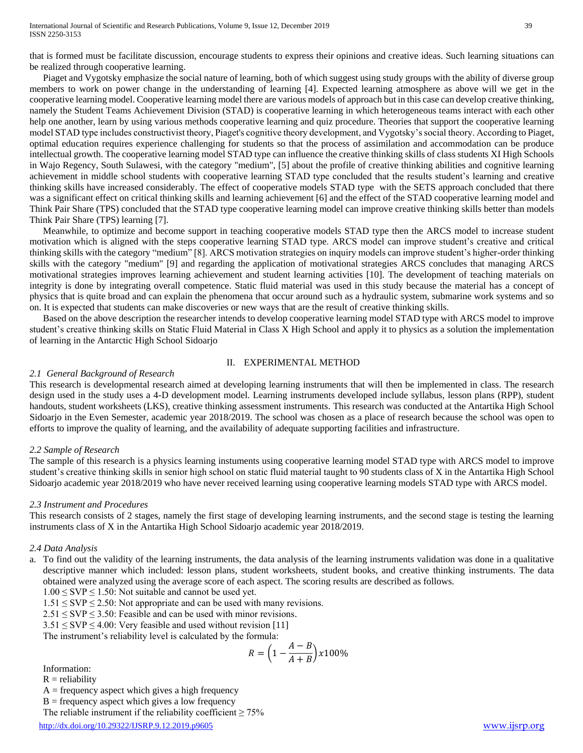that is formed must be facilitate discussion, encourage students to express their opinions and creative ideas. Such learning situations can be realized through cooperative learning.

Piaget and Vygotsky emphasize the social nature of learning, both of which suggest using study groups with the ability of diverse group members to work on power change in the understanding of learning [4]. Expected learning atmosphere as above will we get in the cooperative learning model. Cooperative learning model there are various models of approach but in this case can develop creative thinking, namely the Student Teams Achievement Division (STAD) is cooperative learning in which heterogeneous teams interact with each other help one another, learn by using various methods cooperative learning and quiz procedure. Theories that support the cooperative learning model STAD type includes constructivist theory, Piaget's cognitive theory development, and Vygotsky's social theory. According to Piaget, optimal education requires experience challenging for students so that the process of assimilation and accommodation can be produce intellectual growth. The cooperative learning model STAD type can influence the creative thinking skills of class students XI High Schools in Wajo Regency, South Sulawesi, with the category "medium", [5] about the profile of creative thinking abilities and cognitive learning achievement in middle school students with cooperative learning STAD type concluded that the results student's learning and creative thinking skills have increased considerably. The effect of cooperative models STAD type with the SETS approach concluded that there was a significant effect on critical thinking skills and learning achievement [6] and the effect of the STAD cooperative learning model and Think Pair Share (TPS) concluded that the STAD type cooperative learning model can improve creative thinking skills better than models Think Pair Share (TPS) learning [7].

Meanwhile, to optimize and become support in teaching cooperative models STAD type then the ARCS model to increase student motivation which is aligned with the steps cooperative learning STAD type. ARCS model can improve student's creative and critical thinking skills with the category "medium" [8]. ARCS motivation strategies on inquiry models can improve student's higher-order thinking skills with the category "medium" [9] and regarding the application of motivational strategies ARCS concludes that managing ARCS motivational strategies improves learning achievement and student learning activities [10]. The development of teaching materials on integrity is done by integrating overall competence. Static fluid material was used in this study because the material has a concept of physics that is quite broad and can explain the phenomena that occur around such as a hydraulic system, submarine work systems and so on. It is expected that students can make discoveries or new ways that are the result of creative thinking skills.

Based on the above description the researcher intends to develop cooperative learning model STAD type with ARCS model to improve student's creative thinking skills on Static Fluid Material in Class X High School and apply it to physics as a solution the implementation of learning in the Antarctic High School Sidoarjo

#### II. EXPERIMENTAL METHOD

#### *2.1 General Background of Research*

This research is developmental research aimed at developing learning instruments that will then be implemented in class. The research design used in the study uses a 4-D development model. Learning instruments developed include syllabus, lesson plans (RPP), student handouts, student worksheets (LKS), creative thinking assessment instruments. This research was conducted at the Antartika High School Sidoarjo in the Even Semester, academic year 2018/2019. The school was chosen as a place of research because the school was open to efforts to improve the quality of learning, and the availability of adequate supporting facilities and infrastructure.

#### *2.2 Sample of Research*

The sample of this research is a physics learning instuments using cooperative learning model STAD type with ARCS model to improve student's creative thinking skills in senior high school on static fluid material taught to 90 students class of X in the Antartika High School Sidoarjo academic year 2018/2019 who have never received learning using cooperative learning models STAD type with ARCS model.

#### *2.3 Instrument and Procedures*

This research consists of 2 stages, namely the first stage of developing learning instruments, and the second stage is testing the learning instruments class of X in the Antartika High School Sidoarjo academic year 2018/2019.

#### *2.4 Data Analysis*

a. To find out the validity of the learning instruments, the data analysis of the learning instruments validation was done in a qualitative descriptive manner which included: lesson plans, student worksheets, student books, and creative thinking instruments. The data obtained were analyzed using the average score of each aspect. The scoring results are described as follows.

 $1.00 \leq$  SVP  $\leq$  1.50: Not suitable and cannot be used yet.

- $1.51 \leq$  SVP  $\leq$  2.50: Not appropriate and can be used with many revisions.
- $2.51 \leq$  SVP  $\leq$  3.50: Feasible and can be used with minor revisions.
- $3.51 \leq$  SVP  $\leq$  4.00: Very feasible and used without revision [11]

The instrument's reliability level is calculated by the formula:

$$
R = \left(1 - \frac{A - B}{A + B}\right) \times 100\%
$$

Information:

 $R =$  reliability

 $A =$  frequency aspect which gives a high frequency

 $B =$  frequency aspect which gives a low frequency

The reliable instrument if the reliability coefficient  $\geq 75\%$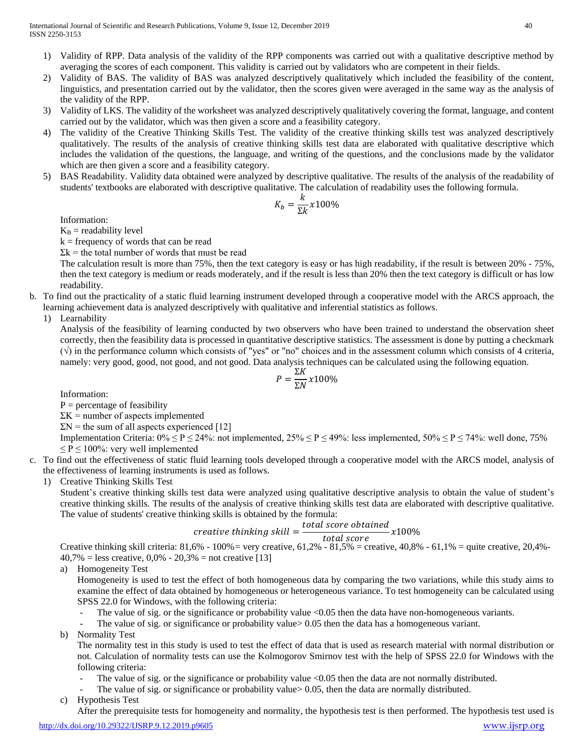- 1) Validity of RPP. Data analysis of the validity of the RPP components was carried out with a qualitative descriptive method by averaging the scores of each component. This validity is carried out by validators who are competent in their fields.
- 2) Validity of BAS. The validity of BAS was analyzed descriptively qualitatively which included the feasibility of the content, linguistics, and presentation carried out by the validator, then the scores given were averaged in the same way as the analysis of the validity of the RPP.
- 3) Validity of LKS. The validity of the worksheet was analyzed descriptively qualitatively covering the format, language, and content carried out by the validator, which was then given a score and a feasibility category.
- 4) The validity of the Creative Thinking Skills Test. The validity of the creative thinking skills test was analyzed descriptively qualitatively. The results of the analysis of creative thinking skills test data are elaborated with qualitative descriptive which includes the validation of the questions, the language, and writing of the questions, and the conclusions made by the validator which are then given a score and a feasibility category.
- 5) BAS Readability. Validity data obtained were analyzed by descriptive qualitative. The results of the analysis of the readability of students' textbooks are elaborated with descriptive qualitative. The calculation of readability uses the following formula.

$$
K_b = \frac{k}{\Sigma k} x 100\%
$$

Information:

 $K_B$  = readability level

 $k =$  frequency of words that can be read

 $\Sigma$ k = the total number of words that must be read

The calculation result is more than 75%, then the text category is easy or has high readability, if the result is between 20% - 75%, then the text category is medium or reads moderately, and if the result is less than 20% then the text category is difficult or has low readability.

b. To find out the practicality of a static fluid learning instrument developed through a cooperative model with the ARCS approach, the learning achievement data is analyzed descriptively with qualitative and inferential statistics as follows.

1) Learnability

Analysis of the feasibility of learning conducted by two observers who have been trained to understand the observation sheet correctly, then the feasibility data is processed in quantitative descriptive statistics. The assessment is done by putting a checkmark  $(\sqrt{2})$  in the performance column which consists of "yes" or "no" choices and in the assessment column which consists of 4 criteria, namely: very good, good, not good, and not good. Data analysis techniques can be calculated using the following equation.

$$
P = \frac{\Sigma K}{\Sigma N} x 100\%
$$

Information:

 $P =$  percentage of feasibility

 $\Sigma K$  = number of aspects implemented

 $\Sigma$ N = the sum of all aspects experienced [12]

Implementation Criteria:  $0\% \le P \le 24\%$ : not implemented,  $25\% \le P \le 49\%$ : less implemented,  $50\% \le P \le 74\%$ : well done, 75%  $\leq P \leq 100\%$ : very well implemented

- c. To find out the effectiveness of static fluid learning tools developed through a cooperative model with the ARCS model, analysis of the effectiveness of learning instruments is used as follows.
	- 1) Creative Thinking Skills Test

Student's creative thinking skills test data were analyzed using qualitative descriptive analysis to obtain the value of student's creative thinking skills. The results of the analysis of creative thinking skills test data are elaborated with descriptive qualitative. The value of students' creative thinking skills is obtained by the formula:

$$
create the thinking skill = \frac{total score obtained}{1 + total error} \times 100\%
$$

Creative thinking skill criteria: 
$$
81,6\% - 100\% =
$$
 very creative,  $61,2\% - 81,5\% =$  creative,  $40,8\% - 61,1\% =$  quite creative,  $20,4\% - 40,7\% =$  less creative,  $0,0\% - 20,3\% =$  not creative [13]

a) Homogeneity Test

Homogeneity is used to test the effect of both homogeneous data by comparing the two variations, while this study aims to examine the effect of data obtained by homogeneous or heterogeneous variance. To test homogeneity can be calculated using SPSS 22.0 for Windows, with the following criteria:

The value of sig. or the significance or probability value  $\leq 0.05$  then the data have non-homogeneous variants.

The value of sig. or significance or probability value > 0.05 then the data has a homogeneous variant.

b) Normality Test

The normality test in this study is used to test the effect of data that is used as research material with normal distribution or not. Calculation of normality tests can use the Kolmogorov Smirnov test with the help of SPSS 22.0 for Windows with the following criteria:

- The value of sig. or the significance or probability value <0.05 then the data are not normally distributed.
- The value of sig. or significance or probability value > 0.05, then the data are normally distributed.
- c) Hypothesis Test

After the prerequisite tests for homogeneity and normality, the hypothesis test is then performed. The hypothesis test used is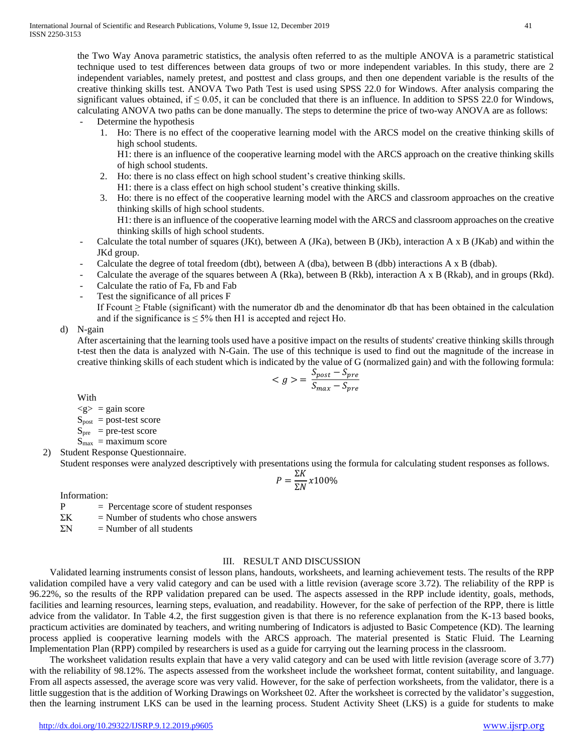the Two Way Anova parametric statistics, the analysis often referred to as the multiple ANOVA is a parametric statistical technique used to test differences between data groups of two or more independent variables. In this study, there are 2 independent variables, namely pretest, and posttest and class groups, and then one dependent variable is the results of the creative thinking skills test. ANOVA Two Path Test is used using SPSS 22.0 for Windows. After analysis comparing the significant values obtained, if  $\leq 0.05$ , it can be concluded that there is an influence. In addition to SPSS 22.0 for Windows, calculating ANOVA two paths can be done manually. The steps to determine the price of two-way ANOVA are as follows:

- Determine the hypothesis
	- 1. Ho: There is no effect of the cooperative learning model with the ARCS model on the creative thinking skills of high school students.
		- H1: there is an influence of the cooperative learning model with the ARCS approach on the creative thinking skills of high school students.
	- 2. Ho: there is no class effect on high school student's creative thinking skills. H1: there is a class effect on high school student's creative thinking skills.
	- 3. Ho: there is no effect of the cooperative learning model with the ARCS and classroom approaches on the creative thinking skills of high school students. H1: there is an influence of the cooperative learning model with the ARCS and classroom approaches on the creative thinking skills of high school students.
- Calculate the total number of squares (JKt), between A (JKa), between B (JKb), interaction A x B (JKab) and within the JKd group.
- Calculate the degree of total freedom (dbt), between A (dba), between B (dbb) interactions A x B (dbab).
- Calculate the average of the squares between A (Rka), between B (Rkb), interaction A x B (Rkab), and in groups (Rkd).
- Calculate the ratio of Fa, Fb and Fab
- Test the significance of all prices F

If Fcount  $\geq$  Ftable (significant) with the numerator db and the denominator db that has been obtained in the calculation and if the significance is  $\leq 5\%$  then H1 is accepted and reject H0.

#### d) N-gain

After ascertaining that the learning tools used have a positive impact on the results of students' creative thinking skills through t-test then the data is analyzed with N-Gain. The use of this technique is used to find out the magnitude of the increase in creative thinking skills of each student which is indicated by the value of G (normalized gain) and with the following formula:

$$
\langle g \rangle = \frac{S_{post} - S_{pre}}{S_{max} - S_{pre}}
$$

With

 $< g > =$  gain score

 $S<sub>post</sub>$  = post-test score

 $S_{pre}$  = pre-test score

 $S_{\text{max}}$  = maximum score

2) Student Response Questionnaire.

Student responses were analyzed descriptively with presentations using the formula for calculating student responses as follows.

$$
P = \frac{\Sigma K}{\Sigma N} x 100\%
$$

Information:

- $P =$  Percentage score of student responses
- $\Sigma K$  = Number of students who chose answers
- $\Sigma N$  = Number of all students

#### III. RESULT AND DISCUSSION

Validated learning instruments consist of lesson plans, handouts, worksheets, and learning achievement tests. The results of the RPP validation compiled have a very valid category and can be used with a little revision (average score 3.72). The reliability of the RPP is 96.22%, so the results of the RPP validation prepared can be used. The aspects assessed in the RPP include identity, goals, methods, facilities and learning resources, learning steps, evaluation, and readability. However, for the sake of perfection of the RPP, there is little advice from the validator. In Table 4.2, the first suggestion given is that there is no reference explanation from the K-13 based books, practicum activities are dominated by teachers, and writing numbering of Indicators is adjusted to Basic Competence (KD). The learning process applied is cooperative learning models with the ARCS approach. The material presented is Static Fluid. The Learning Implementation Plan (RPP) compiled by researchers is used as a guide for carrying out the learning process in the classroom.

The worksheet validation results explain that have a very valid category and can be used with little revision (average score of 3.77) with the reliability of 98.12%. The aspects assessed from the worksheet include the worksheet format, content suitability, and language. From all aspects assessed, the average score was very valid. However, for the sake of perfection worksheets, from the validator, there is a little suggestion that is the addition of Working Drawings on Worksheet 02. After the worksheet is corrected by the validator's suggestion, then the learning instrument LKS can be used in the learning process. Student Activity Sheet (LKS) is a guide for students to make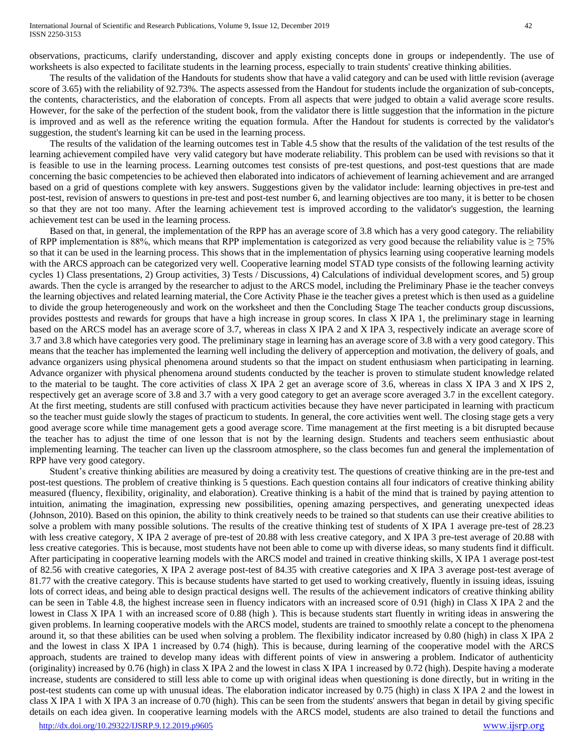observations, practicums, clarify understanding, discover and apply existing concepts done in groups or independently. The use of worksheets is also expected to facilitate students in the learning process, especially to train students' creative thinking abilities.

The results of the validation of the Handouts for students show that have a valid category and can be used with little revision (average score of 3.65) with the reliability of 92.73%. The aspects assessed from the Handout for students include the organization of sub-concepts, the contents, characteristics, and the elaboration of concepts. From all aspects that were judged to obtain a valid average score results. However, for the sake of the perfection of the student book, from the validator there is little suggestion that the information in the picture is improved and as well as the reference writing the equation formula. After the Handout for students is corrected by the validator's suggestion, the student's learning kit can be used in the learning process.

The results of the validation of the learning outcomes test in Table 4.5 show that the results of the validation of the test results of the learning achievement compiled have very valid category but have moderate reliability. This problem can be used with revisions so that it is feasible to use in the learning process. Learning outcomes test consists of pre-test questions, and post-test questions that are made concerning the basic competencies to be achieved then elaborated into indicators of achievement of learning achievement and are arranged based on a grid of questions complete with key answers. Suggestions given by the validator include: learning objectives in pre-test and post-test, revision of answers to questions in pre-test and post-test number 6, and learning objectives are too many, it is better to be chosen so that they are not too many. After the learning achievement test is improved according to the validator's suggestion, the learning achievement test can be used in the learning process.

Based on that, in general, the implementation of the RPP has an average score of 3.8 which has a very good category. The reliability of RPP implementation is 88%, which means that RPP implementation is categorized as very good because the reliability value is  $\geq$  75% so that it can be used in the learning process. This shows that in the implementation of physics learning using cooperative learning models with the ARCS approach can be categorized very well. Cooperative learning model STAD type consists of the following learning activity cycles 1) Class presentations, 2) Group activities, 3) Tests / Discussions, 4) Calculations of individual development scores, and 5) group awards. Then the cycle is arranged by the researcher to adjust to the ARCS model, including the Preliminary Phase ie the teacher conveys the learning objectives and related learning material, the Core Activity Phase ie the teacher gives a pretest which is then used as a guideline to divide the group heterogeneously and work on the worksheet and then the Concluding Stage The teacher conducts group discussions, provides posttests and rewards for groups that have a high increase in group scores. In class X IPA 1, the preliminary stage in learning based on the ARCS model has an average score of 3.7, whereas in class X IPA 2 and X IPA 3, respectively indicate an average score of 3.7 and 3.8 which have categories very good. The preliminary stage in learning has an average score of 3.8 with a very good category. This means that the teacher has implemented the learning well including the delivery of apperception and motivation, the delivery of goals, and advance organizers using physical phenomena around students so that the impact on student enthusiasm when participating in learning. Advance organizer with physical phenomena around students conducted by the teacher is proven to stimulate student knowledge related to the material to be taught. The core activities of class X IPA 2 get an average score of 3.6, whereas in class X IPA 3 and X IPS 2, respectively get an average score of 3.8 and 3.7 with a very good category to get an average score averaged 3.7 in the excellent category. At the first meeting, students are still confused with practicum activities because they have never participated in learning with practicum so the teacher must guide slowly the stages of practicum to students. In general, the core activities went well. The closing stage gets a very good average score while time management gets a good average score. Time management at the first meeting is a bit disrupted because the teacher has to adjust the time of one lesson that is not by the learning design. Students and teachers seem enthusiastic about implementing learning. The teacher can liven up the classroom atmosphere, so the class becomes fun and general the implementation of RPP have very good category.

Student's creative thinking abilities are measured by doing a creativity test. The questions of creative thinking are in the pre-test and post-test questions. The problem of creative thinking is 5 questions. Each question contains all four indicators of creative thinking ability measured (fluency, flexibility, originality, and elaboration). Creative thinking is a habit of the mind that is trained by paying attention to intuition, animating the imagination, expressing new possibilities, opening amazing perspectives, and generating unexpected ideas (Johnson, 2010). Based on this opinion, the ability to think creatively needs to be trained so that students can use their creative abilities to solve a problem with many possible solutions. The results of the creative thinking test of students of X IPA 1 average pre-test of 28.23 with less creative category, X IPA 2 average of pre-test of 20.88 with less creative category, and X IPA 3 pre-test average of 20.88 with less creative categories. This is because, most students have not been able to come up with diverse ideas, so many students find it difficult. After participating in cooperative learning models with the ARCS model and trained in creative thinking skills, X IPA 1 average post-test of 82.56 with creative categories, X IPA 2 average post-test of 84.35 with creative categories and X IPA 3 average post-test average of 81.77 with the creative category. This is because students have started to get used to working creatively, fluently in issuing ideas, issuing lots of correct ideas, and being able to design practical designs well. The results of the achievement indicators of creative thinking ability can be seen in Table 4.8, the highest increase seen in fluency indicators with an increased score of 0.91 (high) in Class X IPA 2 and the lowest in Class X IPA 1 with an increased score of 0.88 (high ). This is because students start fluently in writing ideas in answering the given problems. In learning cooperative models with the ARCS model, students are trained to smoothly relate a concept to the phenomena around it, so that these abilities can be used when solving a problem. The flexibility indicator increased by 0.80 (high) in class X IPA 2 and the lowest in class X IPA 1 increased by 0.74 (high). This is because, during learning of the cooperative model with the ARCS approach, students are trained to develop many ideas with different points of view in answering a problem. Indicator of authenticity (originality) increased by 0.76 (high) in class X IPA 2 and the lowest in class X IPA 1 increased by 0.72 (high). Despite having a moderate increase, students are considered to still less able to come up with original ideas when questioning is done directly, but in writing in the post-test students can come up with unusual ideas. The elaboration indicator increased by 0.75 (high) in class X IPA 2 and the lowest in class X IPA 1 with X IPA 3 an increase of 0.70 (high). This can be seen from the students' answers that began in detail by giving specific details on each idea given. In cooperative learning models with the ARCS model, students are also trained to detail the functions and

<http://dx.doi.org/10.29322/IJSRP.9.12.2019.p9605> [www.ijsrp.org](http://ijsrp.org/)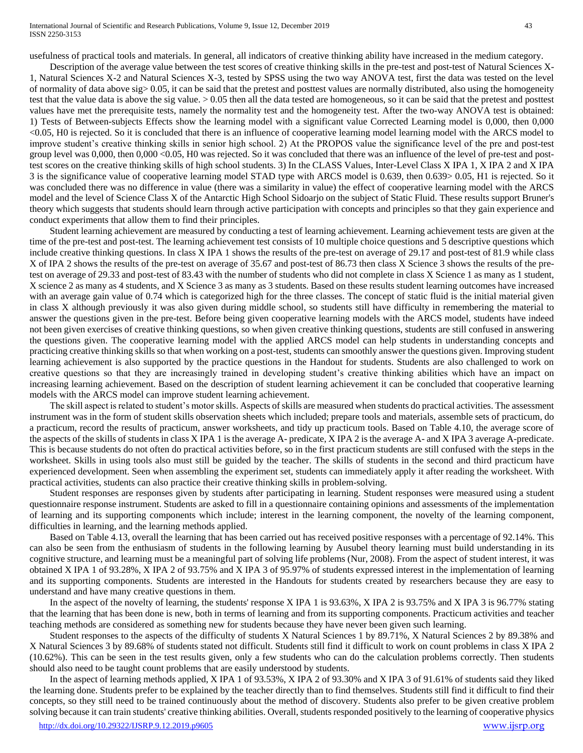usefulness of practical tools and materials. In general, all indicators of creative thinking ability have increased in the medium category.

Description of the average value between the test scores of creative thinking skills in the pre-test and post-test of Natural Sciences X-1, Natural Sciences X-2 and Natural Sciences X-3, tested by SPSS using the two way ANOVA test, first the data was tested on the level of normality of data above sig> 0.05, it can be said that the pretest and posttest values are normally distributed, also using the homogeneity test that the value data is above the sig value. > 0.05 then all the data tested are homogeneous, so it can be said that the pretest and posttest values have met the prerequisite tests, namely the normality test and the homogeneity test. After the two-way ANOVA test is obtained: 1) Tests of Between-subjects Effects show the learning model with a significant value Corrected Learning model is 0,000, then 0,000 <0.05, H0 is rejected. So it is concluded that there is an influence of cooperative learning model learning model with the ARCS model to improve student's creative thinking skills in senior high school. 2) At the PROPOS value the significance level of the pre and post-test group level was 0,000, then 0,000 <0.05, H0 was rejected. So it was concluded that there was an influence of the level of pre-test and posttest scores on the creative thinking skills of high school students. 3) In the CLASS Values, Inter-Level Class X IPA 1, X IPA 2 and X IPA 3 is the significance value of cooperative learning model STAD type with ARCS model is 0.639, then 0.639> 0.05, H1 is rejected. So it was concluded there was no difference in value (there was a similarity in value) the effect of cooperative learning model with the ARCS model and the level of Science Class X of the Antarctic High School Sidoarjo on the subject of Static Fluid. These results support Bruner's theory which suggests that students should learn through active participation with concepts and principles so that they gain experience and conduct experiments that allow them to find their principles.

Student learning achievement are measured by conducting a test of learning achievement. Learning achievement tests are given at the time of the pre-test and post-test. The learning achievement test consists of 10 multiple choice questions and 5 descriptive questions which include creative thinking questions. In class X IPA 1 shows the results of the pre-test on average of 29.17 and post-test of 81.9 while class X of IPA 2 shows the results of the pre-test on average of 35.67 and post-test of 86.73 then class X Science 3 shows the results of the pretest on average of 29.33 and post-test of 83.43 with the number of students who did not complete in class X Science 1 as many as 1 student, X science 2 as many as 4 students, and X Science 3 as many as 3 students. Based on these results student learning outcomes have increased with an average gain value of 0.74 which is categorized high for the three classes. The concept of static fluid is the initial material given in class X although previously it was also given during middle school, so students still have difficulty in remembering the material to answer the questions given in the pre-test. Before being given cooperative learning models with the ARCS model, students have indeed not been given exercises of creative thinking questions, so when given creative thinking questions, students are still confused in answering the questions given. The cooperative learning model with the applied ARCS model can help students in understanding concepts and practicing creative thinking skills so that when working on a post-test, students can smoothly answer the questions given. Improving student learning achievement is also supported by the practice questions in the Handout for students. Students are also challenged to work on creative questions so that they are increasingly trained in developing student's creative thinking abilities which have an impact on increasing learning achievement. Based on the description of student learning achievement it can be concluded that cooperative learning models with the ARCS model can improve student learning achievement.

The skill aspect is related to student's motor skills. Aspects of skills are measured when students do practical activities. The assessment instrument was in the form of student skills observation sheets which included; prepare tools and materials, assemble sets of practicum, do a practicum, record the results of practicum, answer worksheets, and tidy up practicum tools. Based on Table 4.10, the average score of the aspects of the skills of students in class X IPA 1 is the average A- predicate, X IPA 2 is the average A- and X IPA 3 average A-predicate. This is because students do not often do practical activities before, so in the first practicum students are still confused with the steps in the worksheet. Skills in using tools also must still be guided by the teacher. The skills of students in the second and third practicum have experienced development. Seen when assembling the experiment set, students can immediately apply it after reading the worksheet. With practical activities, students can also practice their creative thinking skills in problem-solving.

Student responses are responses given by students after participating in learning. Student responses were measured using a student questionnaire response instrument. Students are asked to fill in a questionnaire containing opinions and assessments of the implementation of learning and its supporting components which include; interest in the learning component, the novelty of the learning component, difficulties in learning, and the learning methods applied.

Based on Table 4.13, overall the learning that has been carried out has received positive responses with a percentage of 92.14%. This can also be seen from the enthusiasm of students in the following learning by Ausubel theory learning must build understanding in its cognitive structure, and learning must be a meaningful part of solving life problems (Nur, 2008). From the aspect of student interest, it was obtained X IPA 1 of 93.28%, X IPA 2 of 93.75% and X IPA 3 of 95.97% of students expressed interest in the implementation of learning and its supporting components. Students are interested in the Handouts for students created by researchers because they are easy to understand and have many creative questions in them.

In the aspect of the novelty of learning, the students' response X IPA 1 is 93.63%, X IPA 2 is 93.75% and X IPA 3 is 96.77% stating that the learning that has been done is new, both in terms of learning and from its supporting components. Practicum activities and teacher teaching methods are considered as something new for students because they have never been given such learning.

Student responses to the aspects of the difficulty of students X Natural Sciences 1 by 89.71%, X Natural Sciences 2 by 89.38% and X Natural Sciences 3 by 89.68% of students stated not difficult. Students still find it difficult to work on count problems in class X IPA 2 (10.62%). This can be seen in the test results given, only a few students who can do the calculation problems correctly. Then students should also need to be taught count problems that are easily understood by students.

In the aspect of learning methods applied, X IPA 1 of 93.53%, X IPA 2 of 93.30% and X IPA 3 of 91.61% of students said they liked the learning done. Students prefer to be explained by the teacher directly than to find themselves. Students still find it difficult to find their concepts, so they still need to be trained continuously about the method of discovery. Students also prefer to be given creative problem solving because it can train students' creative thinking abilities. Overall, students responded positively to the learning of cooperative physics